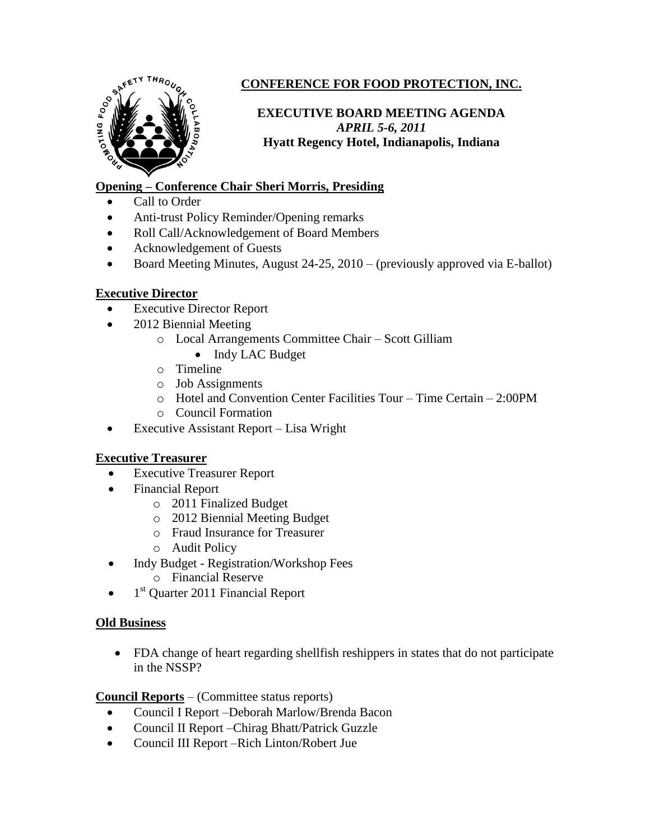

# **CONFERENCE FOR FOOD PROTECTION, INC.**

## **EXECUTIVE BOARD MEETING AGENDA** *APRIL 5-6, 2011* **Hyatt Regency Hotel, Indianapolis, Indiana**

## **Opening – Conference Chair Sheri Morris, Presiding**

- Call to Order
- Anti-trust Policy Reminder/Opening remarks
- Roll Call/Acknowledgement of Board Members
- Acknowledgement of Guests
- Board Meeting Minutes, August  $24-25$ ,  $2010 -$  (previously approved via E-ballot)

## **Executive Director**

- Executive Director Report
- 2012 Biennial Meeting
	- o Local Arrangements Committee Chair Scott Gilliam
		- Indy LAC Budget
	- o Timeline
	- o Job Assignments
	- o Hotel and Convention Center Facilities Tour Time Certain 2:00PM
	- o Council Formation
- Executive Assistant Report Lisa Wright

## **Executive Treasurer**

- Executive Treasurer Report
- Financial Report
	- o 2011 Finalized Budget
	- o 2012 Biennial Meeting Budget
	- o Fraud Insurance for Treasurer
	- o Audit Policy
- Indy Budget Registration/Workshop Fees
	- o Financial Reserve
- $\bullet$  1<sup>st</sup> Quarter 2011 Financial Report

### **Old Business**

 FDA change of heart regarding shellfish reshippers in states that do not participate in the NSSP?

**Council Reports** – (Committee status reports)

- Council I Report –Deborah Marlow/Brenda Bacon
- Council II Report Chirag Bhatt/Patrick Guzzle
- Council III Report –Rich Linton/Robert Jue